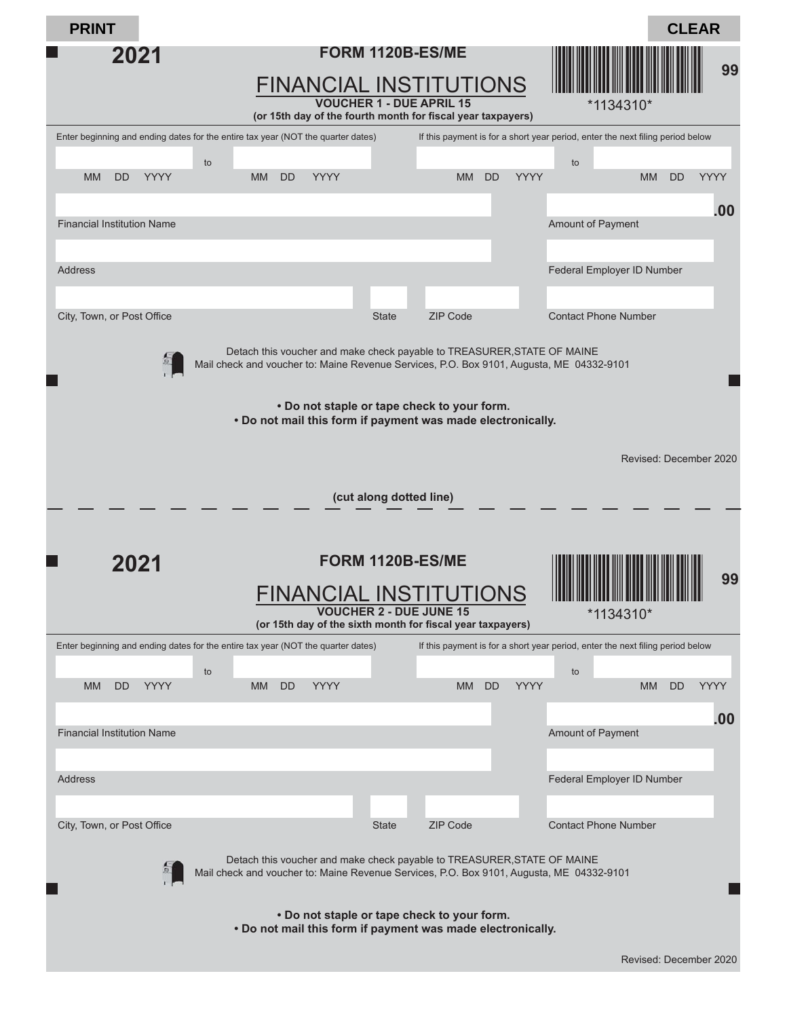| <b>PRINT</b>                                                                                               |                                                                                                                                                                     |                                                                               |                          | <b>CLEAR</b>                                                                   |             |  |  |  |  |
|------------------------------------------------------------------------------------------------------------|---------------------------------------------------------------------------------------------------------------------------------------------------------------------|-------------------------------------------------------------------------------|--------------------------|--------------------------------------------------------------------------------|-------------|--|--|--|--|
| 2021                                                                                                       |                                                                                                                                                                     | FORM 1120B-ES/ME<br>FINANCIAL INSTITUTIONS<br><b>VOUCHER 1 - DUE APRIL 15</b> |                          | *1134310*                                                                      | 99          |  |  |  |  |
|                                                                                                            | (or 15th day of the fourth month for fiscal year taxpayers)                                                                                                         |                                                                               |                          |                                                                                |             |  |  |  |  |
|                                                                                                            | Enter beginning and ending dates for the entire tax year (NOT the quarter dates)                                                                                    |                                                                               |                          | If this payment is for a short year period, enter the next filing period below |             |  |  |  |  |
| <b>MM</b><br><b>DD</b><br><b>YYYY</b>                                                                      | to<br><b>YYYY</b><br>MM  <br><b>DD</b>                                                                                                                              | MM                                                                            | <b>YYYY</b><br><b>DD</b> | to<br><b>DD</b><br><b>MM</b>                                                   | <b>YYYY</b> |  |  |  |  |
| <b>Financial Institution Name</b>                                                                          |                                                                                                                                                                     |                                                                               |                          | <b>Amount of Payment</b>                                                       | .00         |  |  |  |  |
| <b>Address</b>                                                                                             |                                                                                                                                                                     |                                                                               |                          | Federal Employer ID Number                                                     |             |  |  |  |  |
|                                                                                                            |                                                                                                                                                                     |                                                                               |                          |                                                                                |             |  |  |  |  |
| City, Town, or Post Office                                                                                 |                                                                                                                                                                     | <b>ZIP Code</b><br><b>State</b>                                               |                          | <b>Contact Phone Number</b>                                                    |             |  |  |  |  |
| 의                                                                                                          | Detach this voucher and make check payable to TREASURER, STATE OF MAINE<br>Mail check and voucher to: Maine Revenue Services, P.O. Box 9101, Augusta, ME 04332-9101 |                                                                               |                          |                                                                                |             |  |  |  |  |
| . Do not staple or tape check to your form.<br>. Do not mail this form if payment was made electronically. |                                                                                                                                                                     |                                                                               |                          |                                                                                |             |  |  |  |  |
|                                                                                                            |                                                                                                                                                                     |                                                                               |                          | Revised: December 2020                                                         |             |  |  |  |  |
|                                                                                                            |                                                                                                                                                                     |                                                                               |                          |                                                                                |             |  |  |  |  |
|                                                                                                            |                                                                                                                                                                     | (cut along dotted line)                                                       |                          |                                                                                |             |  |  |  |  |
|                                                                                                            |                                                                                                                                                                     |                                                                               |                          |                                                                                |             |  |  |  |  |
|                                                                                                            |                                                                                                                                                                     |                                                                               |                          |                                                                                |             |  |  |  |  |
| 2021                                                                                                       |                                                                                                                                                                     | FORM 1120B-ES/ME                                                              |                          |                                                                                |             |  |  |  |  |
|                                                                                                            |                                                                                                                                                                     | <b>FINANCIAL INSTITUTIONS</b>                                                 |                          |                                                                                | 99          |  |  |  |  |
|                                                                                                            |                                                                                                                                                                     | <b>VOUCHER 2 - DUE JUNE 15</b>                                                |                          | *1134310*                                                                      |             |  |  |  |  |
|                                                                                                            | (or 15th day of the sixth month for fiscal year taxpayers)                                                                                                          |                                                                               |                          |                                                                                |             |  |  |  |  |
|                                                                                                            | Enter beginning and ending dates for the entire tax year (NOT the quarter dates)                                                                                    |                                                                               |                          | If this payment is for a short year period, enter the next filing period below |             |  |  |  |  |
|                                                                                                            | to                                                                                                                                                                  |                                                                               |                          | to                                                                             |             |  |  |  |  |
| YYYY<br><b>MM</b><br>DD                                                                                    | YYYY<br><b>MM</b><br><b>DD</b>                                                                                                                                      | <b>MM</b>                                                                     | <b>DD</b><br><b>YYYY</b> | <b>MM</b><br>DD                                                                | <b>YYYY</b> |  |  |  |  |
|                                                                                                            |                                                                                                                                                                     |                                                                               |                          |                                                                                | .00         |  |  |  |  |
| <b>Financial Institution Name</b>                                                                          |                                                                                                                                                                     |                                                                               |                          | <b>Amount of Payment</b>                                                       |             |  |  |  |  |
|                                                                                                            |                                                                                                                                                                     |                                                                               |                          |                                                                                |             |  |  |  |  |
| Address                                                                                                    |                                                                                                                                                                     |                                                                               |                          | Federal Employer ID Number                                                     |             |  |  |  |  |
|                                                                                                            |                                                                                                                                                                     |                                                                               |                          |                                                                                |             |  |  |  |  |
| City, Town, or Post Office                                                                                 |                                                                                                                                                                     | <b>State</b><br><b>ZIP Code</b>                                               |                          | <b>Contact Phone Number</b>                                                    |             |  |  |  |  |
| 의                                                                                                          | Detach this voucher and make check payable to TREASURER, STATE OF MAINE<br>Mail check and voucher to: Maine Revenue Services, P.O. Box 9101, Augusta, ME 04332-9101 |                                                                               |                          |                                                                                |             |  |  |  |  |
|                                                                                                            | . Do not mail this form if payment was made electronically.                                                                                                         | . Do not staple or tape check to your form.                                   |                          |                                                                                |             |  |  |  |  |
|                                                                                                            |                                                                                                                                                                     |                                                                               |                          | Revised: December 2020                                                         |             |  |  |  |  |